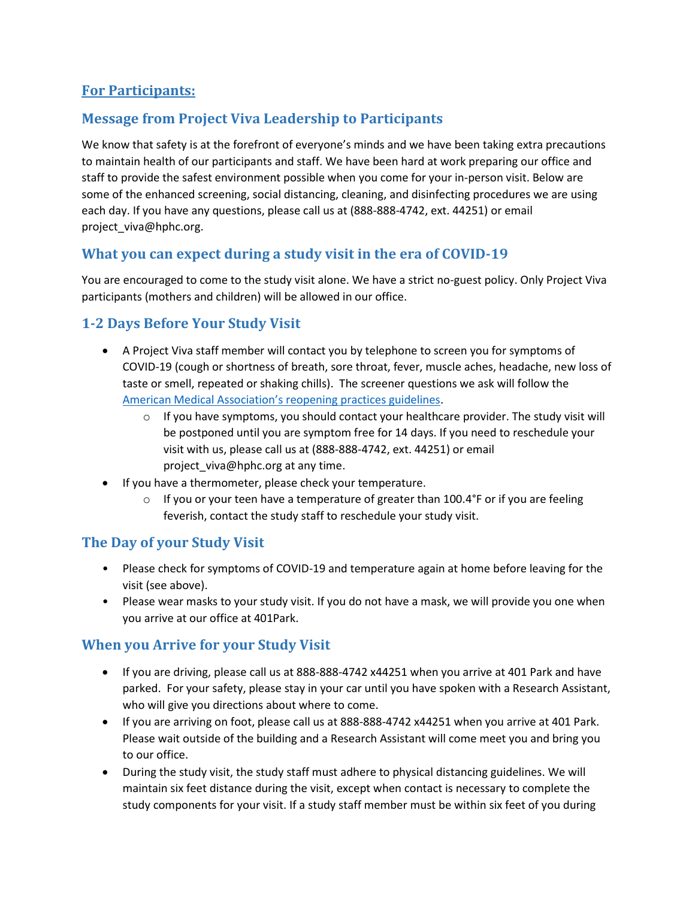## **For Participants:**

# **Message from Project Viva Leadership to Participants**

We know that safety is at the forefront of everyone's minds and we have been taking extra precautions to maintain health of our participants and staff. We have been hard at work preparing our office and staff to provide the safest environment possible when you come for your in-person visit. Below are some of the enhanced screening, social distancing, cleaning, and disinfecting procedures we are using each day. If you have any questions, please call us at (888-888-4742, ext. 44251) or email [project\\_viva@hphc.org.](mailto:project_viva@hphc.org)

## **What you can expect during a study visit in the era of COVID-19**

You are encouraged to come to the study visit alone. We have a strict no-guest policy. Only Project Viva participants (mothers and children) will be allowed in our office.

# **1-2 Days Before Your Study Visit**

- A Project Viva staff member will contact you by telephone to screen you for symptoms of COVID-19 (cough or shortness of breath, sore throat, fever, muscle aches, headache, new loss of taste or smell, repeated or shaking chills). The screener questions we ask will follow the [American Medical Association's reopening practices guidelines](https://www.ama-assn.org/system/files/2020-06/physican-guide-reopening-practices-covid-19.pdf).
	- $\circ$  If you have symptoms, you should contact your healthcare provider. The study visit will be postponed until you are symptom free for 14 days. If you need to reschedule your visit with us, please call us at (888-888-4742, ext. 44251) or email [project\\_viva@hphc.org](mailto:project_viva@hphc.org) at any time.
- If you have a thermometer, please check your temperature.
	- $\circ$  If you or your teen have a temperature of greater than 100.4°F or if you are feeling feverish, contact the study staff to reschedule your study visit.

## **The Day of your Study Visit**

- Please check for symptoms of COVID-19 and temperature again at home before leaving for the visit (see above).
- Please wear masks to your study visit. If you do not have a mask, we will provide you one when you arrive at our office at 401Park.

## **When you Arrive for your Study Visit**

- If you are driving, please call us at 888-888-4742 x44251 when you arrive at 401 Park and have parked. For your safety, please stay in your car until you have spoken with a Research Assistant, who will give you directions about where to come.
- If you are arriving on foot, please call us at 888-888-4742 x44251 when you arrive at 401 Park. Please wait outside of the building and a Research Assistant will come meet you and bring you to our office.
- During the study visit, the study staff must adhere to physical distancing guidelines. We will maintain six feet distance during the visit, except when contact is necessary to complete the study components for your visit. If a study staff member must be within six feet of you during